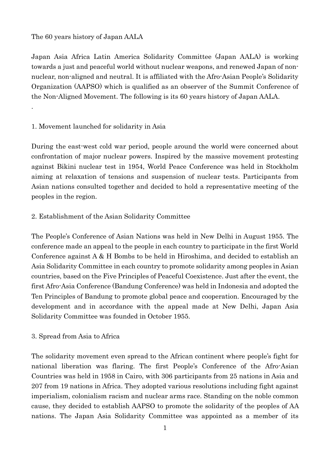# The 60 years history of Japan AALA

.

Japan Asia Africa Latin America Solidarity Committee (Japan AALA) is working towards a just and peaceful world without nuclear weapons, and renewed Japan of nonnuclear, non-aligned and neutral. It is affiliated with the Afro-Asian People's Solidarity Organization (AAPSO) which is qualified as an observer of the Summit Conference of the Non-Aligned Movement. The following is its 60 years history of Japan AALA.

# 1. Movement launched for solidarity in Asia

During the east-west cold war period, people around the world were concerned about confrontation of major nuclear powers. Inspired by the massive movement protesting against Bikini nuclear test in 1954, World Peace Conference was held in Stockholm aiming at relaxation of tensions and suspension of nuclear tests. Participants from Asian nations consulted together and decided to hold a representative meeting of the peoples in the region.

# 2. Establishment of the Asian Solidarity Committee

The People's Conference of Asian Nations was held in New Delhi in August 1955. The conference made an appeal to the people in each country to participate in the first World Conference against A & H Bombs to be held in Hiroshima, and decided to establish an Asia Solidarity Committee in each country to promote solidarity among peoples in Asian countries, based on the Five Principles of Peaceful Coexistence. Just after the event, the first Afro-Asia Conference (Bandung Conference) was held in Indonesia and adopted the Ten Principles of Bandung to promote global peace and cooperation. Encouraged by the development and in accordance with the appeal made at New Delhi, Japan Asia Solidarity Committee was founded in October 1955.

### 3. Spread from Asia to Africa

The solidarity movement even spread to the African continent where people's fight for national liberation was flaring. The first People's Conference of the Afro-Asian Countries was held in 1958 in Cairo, with 306 participants from 25 nations in Asia and 207 from 19 nations in Africa. They adopted various resolutions including fight against imperialism, colonialism racism and nuclear arms race. Standing on the noble common cause, they decided to establish AAPSO to promote the solidarity of the peoples of AA nations. The Japan Asia Solidarity Committee was appointed as a member of its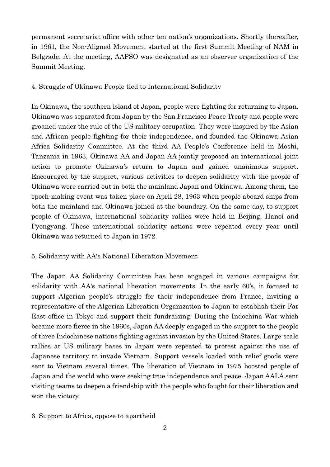permanent secretariat office with other ten nation's organizations. Shortly thereafter, in 1961, the Non-Aligned Movement started at the first Summit Meeting of NAM in Belgrade. At the meeting, AAPSO was designated as an observer organization of the Summit Meeting.

4. Struggle of Okinawa People tied to International Solidarity

In Okinawa, the southern island of Japan, people were fighting for returning to Japan. Okinawa was separated from Japan by the San Francisco Peace Treaty and people were groaned under the rule of the US military occupation. They were inspired by the Asian and African people fighting for their independence, and founded the Okinawa Asian Africa Solidarity Committee. At the third AA People's Conference held in Moshi, Tanzania in 1963, Okinawa AA and Japan AA jointly proposed an international joint action to promote Okinawa's return to Japan and gained unanimous support. Encouraged by the support, various activities to deepen solidarity with the people of Okinawa were carried out in both the mainland Japan and Okinawa. Among them, the epoch-making event was taken place on April 28, 1963 when people aboard ships from both the mainland and Okinawa joined at the boundary. On the same day, to support people of Okinawa, international solidarity rallies were held in Beijing, Hanoi and Pyongyang. These international solidarity actions were repeated every year until Okinawa was returned to Japan in 1972.

### 5, Solidarity with AA's National Liberation Movement

The Japan AA Solidarity Committee has been engaged in various campaigns for solidarity with AA's national liberation movements. In the early 60's, it focused to support Algerian people's struggle for their independence from France, inviting a representative of the Algerian Liberation Organization to Japan to establish their Far East office in Tokyo and support their fundraising. During the Indochina War which became more fierce in the 1960s, Japan AA deeply engaged in the support to the people of three Indochinese nations fighting against invasion by the United States. Large-scale rallies at US military bases in Japan were repeated to protest against the use of Japanese territory to invade Vietnam. Support vessels loaded with relief goods were sent to Vietnam several times. The liberation of Vietnam in 1975 boosted people of Japan and the world who were seeking true independence and peace. Japan AALA sent visiting teams to deepen a friendship with the people who fought for their liberation and won the victory.

6. Support to Africa, oppose to apartheid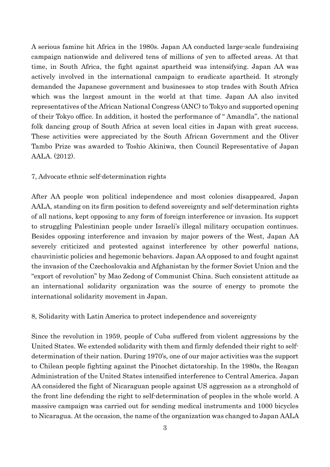A serious famine hit Africa in the 1980s. Japan AA conducted large-scale fundraising campaign nationwide and delivered tens of millions of yen to affected areas. At that time, in South Africa, the fight against apartheid was intensifying. Japan AA was actively involved in the international campaign to eradicate apartheid. It strongly demanded the Japanese government and businesses to stop trades with South Africa which was the largest amount in the world at that time. Japan AA also invited representatives of the African National Congress (ANC) to Tokyo and supported opening of their Tokyo office. In addition, it hosted the performance of " Amandla", the national folk dancing group of South Africa at seven local cities in Japan with great success. These activities were appreciated by the South African Government and the Oliver Tambo Prize was awarded to Toshio Akiniwa, then Council Representative of Japan AALA. (2012).

#### 7, Advocate ethnic self-determination rights

After AA people won political independence and most colonies disappeared, Japan AALA, standing on its firm position to defend sovereignty and self-determination rights of all nations, kept opposing to any form of foreign interference or invasion. Its support to struggling Palestinian people under Israeli's illegal military occupation continues. Besides opposing interference and invasion by major powers of the West, Japan AA severely criticized and protested against interference by other powerful nations, chauvinistic policies and hegemonic behaviors. Japan AA opposed to and fought against the invasion of the Czechoslovakia and Afghanistan by the former Soviet Union and the "export of revolution" by Mao Zedong of Communist China. Such consistent attitude as an international solidarity organization was the source of energy to promote the international solidarity movement in Japan.

8, Solidarity with Latin America to protect independence and sovereignty

Since the revolution in 1959, people of Cuba suffered from violent aggressions by the United States. We extended solidarity with them and firmly defended their right to selfdetermination of their nation. During 1970's, one of our major activities was the support to Chilean people fighting against the Pinochet dictatorship. In the 1980s, the Reagan Administration of the United States intensified interference to Central America. Japan AA considered the fight of Nicaraguan people against US aggression as a stronghold of the front line defending the right to self-determination of peoples in the whole world. A massive campaign was carried out for sending medical instruments and 1000 bicycles to Nicaragua. At the occasion, the name of the organization was changed to Japan AALA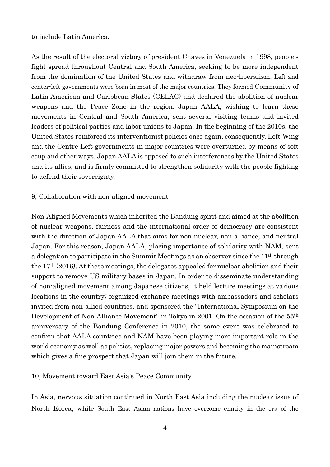to include Latin America.

As the result of the electoral victory of president Chaves in Venezuela in 1998, people's fight spread throughout Central and South America, seeking to be more independent from the domination of the United States and withdraw from neo-liberalism. Left and center-left governments were born in most of the major countries. They formed Community of Latin American and Caribbean States (CELAC) and declared the abolition of nuclear weapons and the Peace Zone in the region. Japan AALA, wishing to learn these movements in Central and South America, sent several visiting teams and invited leaders of political parties and labor unions to Japan. In the beginning of the 2010s, the United States reinforced its interventionist policies once again, consequently, Left-Wing and the Centre-Left governments in major countries were overturned by means of soft coup and other ways. Japan AALA is opposed to such interferences by the United States and its allies, and is firmly committed to strengthen solidarity with the people fighting to defend their sovereignty.

### 9, Collaboration with non-aligned movement

Non-Aligned Movements which inherited the Bandung spirit and aimed at the abolition of nuclear weapons, fairness and the international order of democracy are consistent with the direction of Japan AALA that aims for non-nuclear, non-alliance, and neutral Japan. For this reason, Japan AALA, placing importance of solidarity with NAM, sent a delegation to participate in the Summit Meetings as an observer since the 11th through the 17th (2016). At these meetings, the delegates appealed for nuclear abolition and their support to remove US military bases in Japan. In order to disseminate understanding of non-aligned movement among Japanese citizens, it held lecture meetings at various locations in the country; organized exchange meetings with ambassadors and scholars invited from non-allied countries, and sponsored the "International Symposium on the Development of Non-Alliance Movement" in Tokyo in 2001. On the occasion of the 55th anniversary of the Bandung Conference in 2010, the same event was celebrated to confirm that AALA countries and NAM have been playing more important role in the world economy as well as politics, replacing major powers and becoming the mainstream which gives a fine prospect that Japan will join them in the future.

### 10, Movement toward East Asia's Peace Community

In Asia, nervous situation continued in North East Asia including the nuclear issue of North Korea, while South East Asian nations have overcome enmity in the era of the